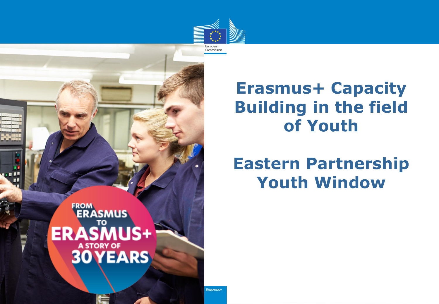

### **Erasmus+ Capacity Building in the field of Youth**

### **Eastern Partnership Youth Window**

**FROM**<br>**ERASMUS** ERASMUS+ **A STORY OF 30 YEARS** 

Erasmus+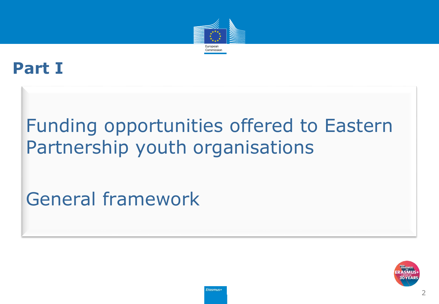

### **Part I**

# Funding opportunities offered to Eastern Partnership youth organisations

General framework

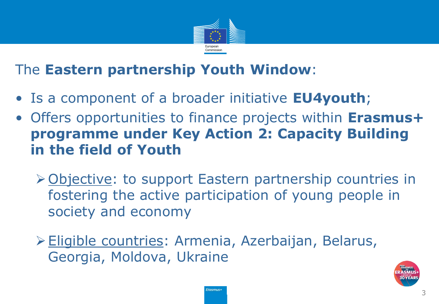

#### The **Eastern partnership Youth Window**:

- Is a component of a broader initiative **EU4youth**;
- Offers opportunities to finance projects within **Erasmus+ programme under Key Action 2: Capacity Building in the field of Youth**
	- ▶ Objective: to support Eastern partnership countries in fostering the active participation of young people in society and economy
	- Eligible countries: Armenia, Azerbaijan, Belarus, Georgia, Moldova, Ukraine

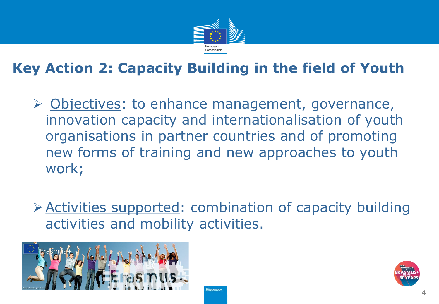

#### **Key Action 2: Capacity Building in the field of Youth**

- $\triangleright$  Objectives: to enhance management, governance, innovation capacity and internationalisation of youth organisations in partner countries and of promoting new forms of training and new approaches to youth work;
- Activities supported: combination of capacity building activities and mobility activities.



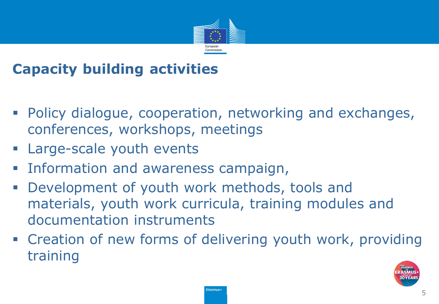

#### **Capacity building activities**

- Policy dialogue, cooperation, networking and exchanges, conferences, workshops, meetings
- **Example 2 Server** Large-scale youth events
- **Information and awareness campaign,**
- Development of youth work methods, tools and materials, youth work curricula, training modules and documentation instruments
- **Example 2 reation of new forms of delivering youth work, providing** training

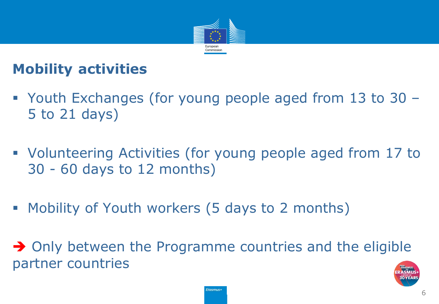

#### **Mobility activities**

- Youth Exchanges (for young people aged from 13 to 30 5 to 21 days)
- Volunteering Activities (for young people aged from 17 to 30 - 60 days to 12 months)
- **Mobility of Youth workers (5 days to 2 months)**

 $\rightarrow$  Only between the Programme countries and the eligible partner countries

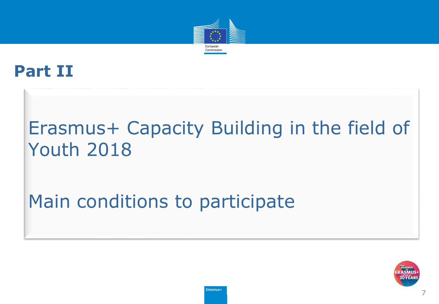

### **Part II**

# Erasmus+ Capacity Building in the field of Youth 2018

# Main conditions to participate

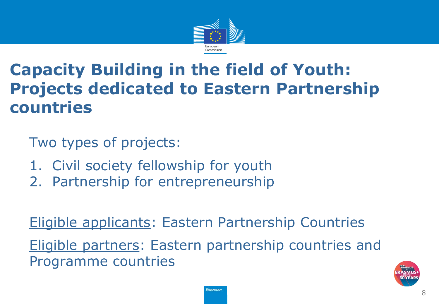

### **Capacity Building in the field of Youth: Projects dedicated to Eastern Partnership countries**

Two types of projects:

- 1. Civil society fellowship for youth
- 2. Partnership for entrepreneurship

Eligible applicants: Eastern Partnership Countries Eligible partners: Eastern partnership countries and Programme countries

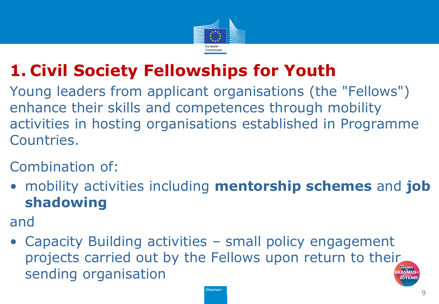

## **1. Civil Society Fellowships for Youth**

Young leaders from applicant organisations (the "Fellows") enhance their skills and competences through mobility activities in hosting organisations established in Programme Countries.

#### Combination of:

• mobility activities including **mentorship schemes** and **job shadowing**

and

• Capacity Building activities – small policy engagement projects carried out by the Fellows upon return to their sending organisation

**Erasmus+**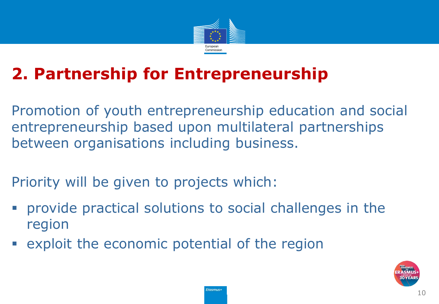

## **2. Partnership for Entrepreneurship**

Promotion of youth entrepreneurship education and social entrepreneurship based upon multilateral partnerships between organisations including business.

Priority will be given to projects which:

- provide practical solutions to social challenges in the region
- exploit the economic potential of the region

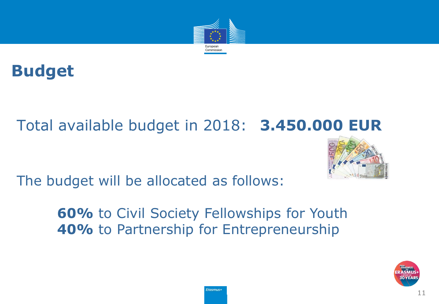

### **Budget**

### Total available budget in 2018: **3.450.000 EUR**



The budget will be allocated as follows:

**60%** to Civil Society Fellowships for Youth **40%** to Partnership for Entrepreneurship

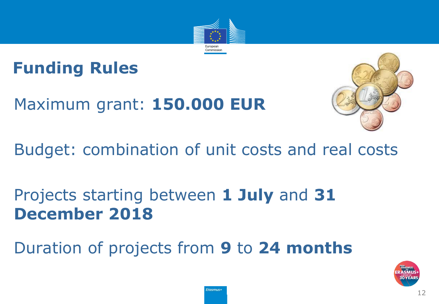

## **Funding Rules**

Maximum grant: **150.000 EUR**



### Budget: combination of unit costs and real costs

### Projects starting between **1 July** and **31 December 2018**

### Duration of projects from **9** to **24 months**

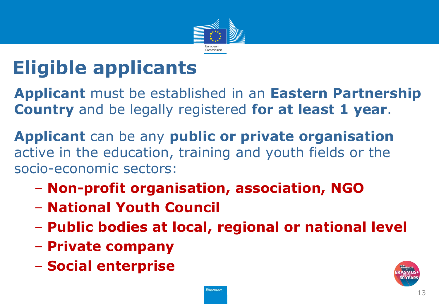

# **Eligible applicants**

**Applicant** must be established in an **Eastern Partnership Country** and be legally registered **for at least 1 year**.

**Applicant** can be any **public or private organisation**  active in the education, training and youth fields or the socio-economic sectors:

- **Non-profit organisation, association, NGO**
- **National Youth Council**
- **Public bodies at local, regional or national level**
- **Private company**
- **Social enterprise**

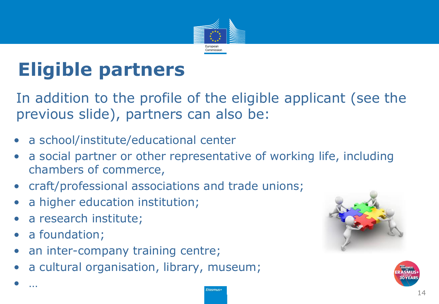

# **Eligible partners**

In addition to the profile of the eligible applicant (see the previous slide), partners can also be:

- a school/institute/educational center
- a social partner or other representative of working life, including chambers of commerce,
- craft/professional associations and trade unions;
- a higher education institution;
- a research institute;
- a foundation;

• …

- an inter-company training centre;
- a cultural organisation, library, museum;



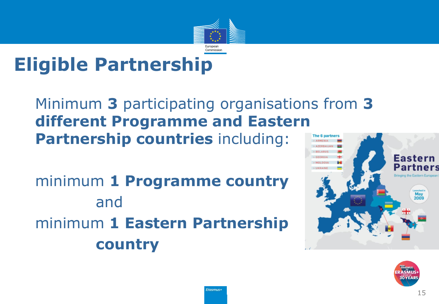

# **Eligible Partnership**

#### Minimum **3** participating organisations from **3 different Programme and Eastern Partnership countries** including:

minimum **1 Programme country** and minimum **1 Eastern Partnership country**



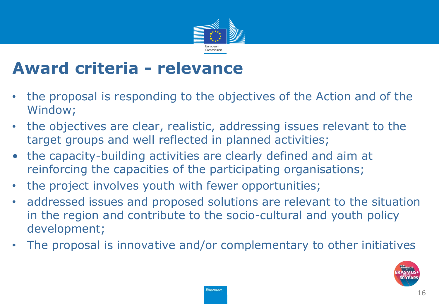

### **Award criteria - relevance**

- the proposal is responding to the objectives of the Action and of the Window;
- the objectives are clear, realistic, addressing issues relevant to the target groups and well reflected in planned activities;
- the capacity-building activities are clearly defined and aim at reinforcing the capacities of the participating organisations;
- the project involves youth with fewer opportunities;
- addressed issues and proposed solutions are relevant to the situation in the region and contribute to the socio-cultural and youth policy development;
- The proposal is innovative and/or complementary to other initiatives

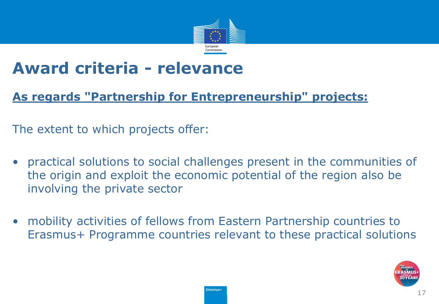

### **Award criteria - relevance**

#### **As regards "Partnership for Entrepreneurship" projects:**

The extent to which projects offer:

- practical solutions to social challenges present in the communities of the origin and exploit the economic potential of the region also be involving the private sector
- mobility activities of fellows from Eastern Partnership countries to Erasmus+ Programme countries relevant to these practical solutions

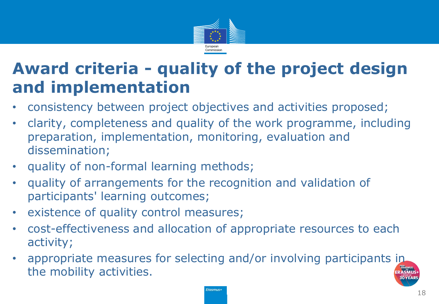

### **Award criteria - quality of the project design and implementation**

- consistency between project objectives and activities proposed;
- clarity, completeness and quality of the work programme, including preparation, implementation, monitoring, evaluation and dissemination;
- quality of non-formal learning methods;
- quality of arrangements for the recognition and validation of participants' learning outcomes;
- existence of quality control measures;
- cost-effectiveness and allocation of appropriate resources to each activity;
- appropriate measures for selecting and/or involving participants in the mobility activities.

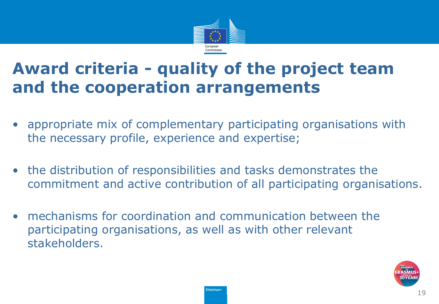

### **Award criteria - quality of the project team and the cooperation arrangements**

- appropriate mix of complementary participating organisations with the necessary profile, experience and expertise;
- the distribution of responsibilities and tasks demonstrates the commitment and active contribution of all participating organisations.
- mechanisms for coordination and communication between the participating organisations, as well as with other relevant stakeholders.

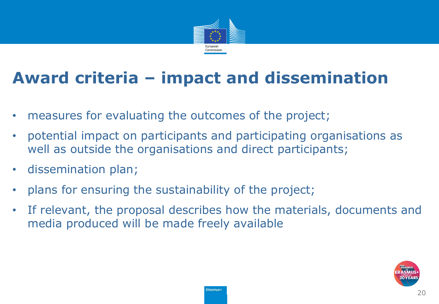

## **Award criteria – impact and dissemination**

- measures for evaluating the outcomes of the project;
- potential impact on participants and participating organisations as well as outside the organisations and direct participants;
- dissemination plan;
- plans for ensuring the sustainability of the project;
- If relevant, the proposal describes how the materials, documents and media produced will be made freely available

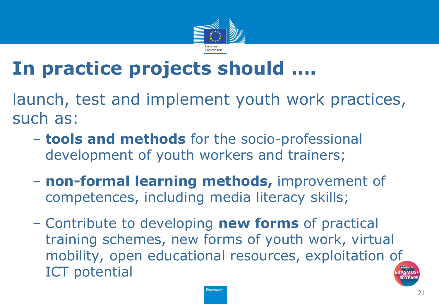

# **In practice projects should ….**

launch, test and implement youth work practices, such as:

- **tools and methods** for the socio-professional development of youth workers and trainers;
- **non-formal learning methods,** improvement of competences, including media literacy skills;
- Contribute to developing **new forms** of practical training schemes, new forms of youth work, virtual mobility, open educational resources, exploitation of ICT potential

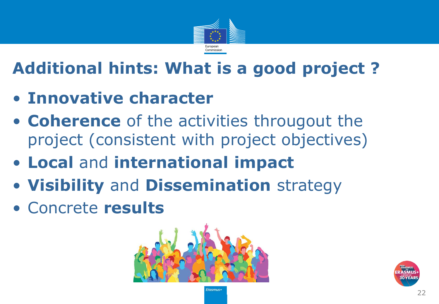

## **Additional hints: What is a good project ?**

- **Innovative character**
- **Coherence** of the activities througout the project (consistent with project objectives)
- **Local** and **international impact**
- **Visibility** and **Dissemination** strategy
- Concrete **results**



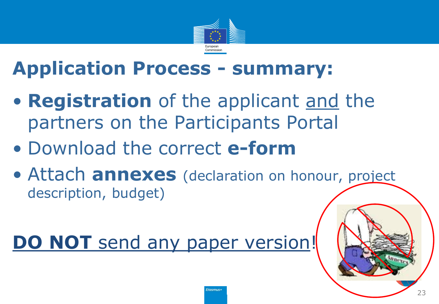

# **Application Process - summary:**

- **Registration** of the applicant and the partners on the Participants Portal
- Download the correct **e-form**
- Attach **annexes** (declaration on honour, project description, budget)

# **DO NOT** send any paper version!

23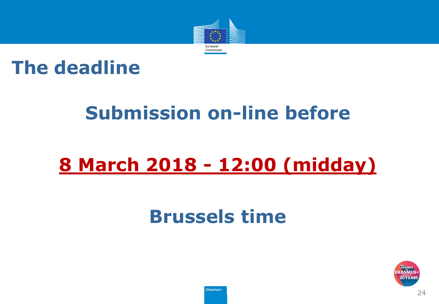

### **The deadline**

# **Submission on-line before**

# **8 March 2018 - 12:00 (midday)**

# **Brussels time**